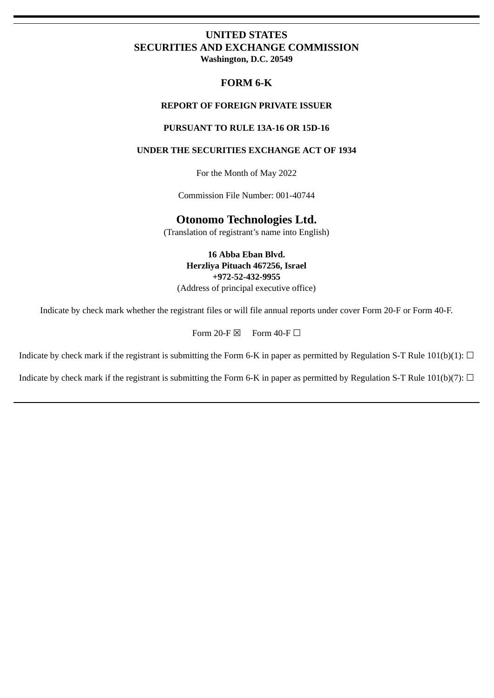# **UNITED STATES SECURITIES AND EXCHANGE COMMISSION**

**Washington, D.C. 20549**

## **FORM 6-K**

### **REPORT OF FOREIGN PRIVATE ISSUER**

#### **PURSUANT TO RULE 13A-16 OR 15D-16**

#### **UNDER THE SECURITIES EXCHANGE ACT OF 1934**

For the Month of May 2022

Commission File Number: 001-40744

# **Otonomo Technologies Ltd.**

(Translation of registrant's name into English)

**16 Abba Eban Blvd. Herzliya Pituach 467256, Israel +972-52-432-9955** (Address of principal executive office)

Indicate by check mark whether the registrant files or will file annual reports under cover Form 20-F or Form 40-F.

Form 20-F  $\boxtimes$  Form 40-F  $\Box$ 

Indicate by check mark if the registrant is submitting the Form 6-K in paper as permitted by Regulation S-T Rule  $101(b)(1)$ :  $\Box$ 

Indicate by check mark if the registrant is submitting the Form 6-K in paper as permitted by Regulation S-T Rule 101(b)(7):  $\Box$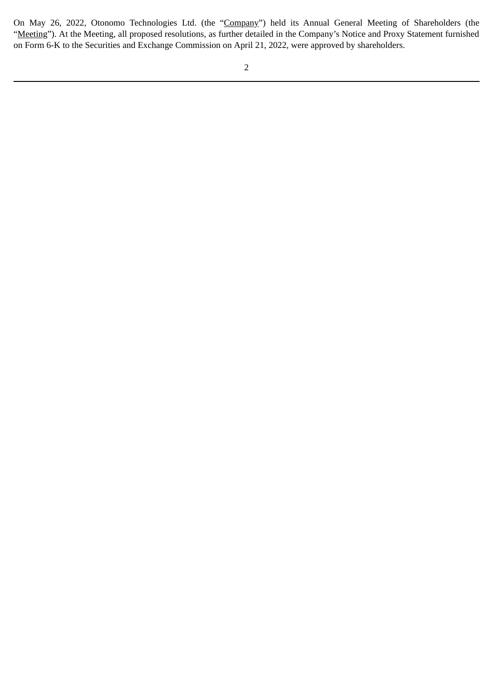On May 26, 2022, Otonomo Technologies Ltd. (the "Company") held its Annual General Meeting of Shareholders (the "Meeting"). At the Meeting, all proposed resolutions, as further detailed in the Company's Notice and Proxy Statement furnished on Form 6-K to the Securities and Exchange Commission on April 21, 2022, were approved by shareholders.